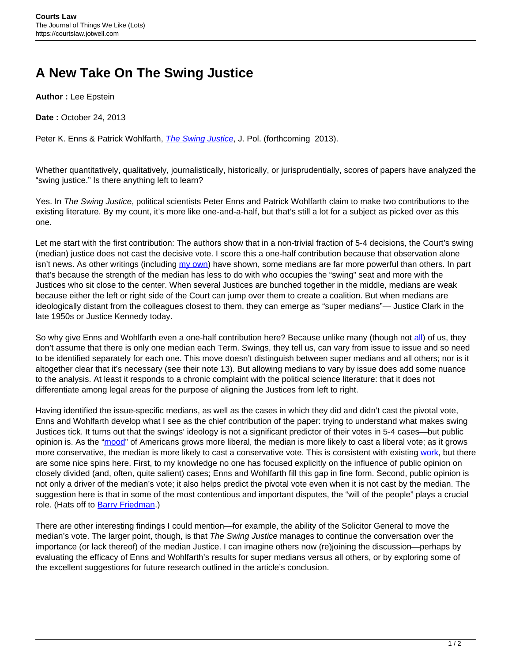## **A New Take On The Swing Justice**

**Author :** Lee Epstein

**Date :** October 24, 2013

Peter K. Enns & Patrick Wohlfarth, *[The Swing Justice](http://falcon.arts.cornell.edu/pe52/SwingJustice_JOP_Fin.pdf)*, J. Pol. (forthcoming 2013).

Whether quantitatively, qualitatively, journalistically, historically, or jurisprudentially, scores of papers have analyzed the "swing justice." Is there anything left to learn?

Yes. In The Swing Justice, political scientists Peter Enns and Patrick Wohlfarth claim to make two contributions to the existing literature. By my count, it's more like one-and-a-half, but that's still a lot for a subject as picked over as this one.

Let me start with the first contribution: The authors show that in a non-trivial fraction of 5-4 decisions, the Court's swing (median) justice does not cast the decisive vote. I score this a one-half contribution because that observation alone isn't news. As other writings (including [my own\)](http://epstein.usc.edu/research/SuperMedians.html) have shown, some medians are far more powerful than others. In part that's because the strength of the median has less to do with who occupies the "swing" seat and more with the Justices who sit close to the center. When several Justices are bunched together in the middle, medians are weak because either the left or right side of the Court can jump over them to create a coalition. But when medians are ideologically distant from the colleagues closest to them, they can emerge as "super medians"— Justice Clark in the late 1950s or Justice Kennedy today.

So why give Enns and Wohlfarth even a one-half contribution here? Because unlike many (though not [all\)](http://userwww.service.emory.edu/~tclark7/LCAPSRKWOC.pdf) of us, they don't assume that there is only one median each Term. Swings, they tell us, can vary from issue to issue and so need to be identified separately for each one. This move doesn't distinguish between super medians and all others; nor is it altogether clear that it's necessary (see their note 13). But allowing medians to vary by issue does add some nuance to the analysis. At least it responds to a chronic complaint with the political science literature: that it does not differentiate among legal areas for the purpose of aligning the Justices from left to right.

Having identified the issue-specific medians, as well as the cases in which they did and didn't cast the pivotal vote, Enns and Wohlfarth develop what I see as the chief contribution of the paper: trying to understand what makes swing Justices tick. It turns out that the swings' ideology is not a significant predictor of their votes in 5-4 cases—but public opinion is. As the "[mood"](http://www.unc.edu/~cogginse/Policy_Mood.html) of Americans grows more liberal, the median is more likely to cast a liberal vote; as it grows more conservative, the median is more likely to cast a conservative vote. This is consistent with existing [work](http://epstein.usc.edu/research/PublicOpinion.html), but there are some nice spins here. First, to my knowledge no one has focused explicitly on the influence of public opinion on closely divided (and, often, quite salient) cases; Enns and Wohlfarth fill this gap in fine form. Second, public opinion is not only a driver of the median's vote; it also helps predict the pivotal vote even when it is not cast by the median. The suggestion here is that in some of the most contentious and important disputes, the "will of the people" plays a crucial role. (Hats off to [Barry Friedman](http://www.thewillofthepeople.org/).)

There are other interesting findings I could mention—for example, the ability of the Solicitor General to move the median's vote. The larger point, though, is that The Swing Justice manages to continue the conversation over the importance (or lack thereof) of the median Justice. I can imagine others now (re)joining the discussion—perhaps by evaluating the efficacy of Enns and Wohlfarth's results for super medians versus all others, or by exploring some of the excellent suggestions for future research outlined in the article's conclusion.